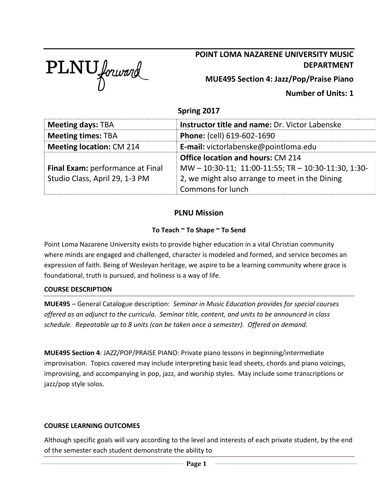

# **POINT LOMA NAZARENE UNIVERSITY MUSIC DEPARTMENT**

**MUE495 Section 4: Jazz/Pop/Praise Piano**

## **Number of Units: 1**

## **Spring 2017**

| <b>Meeting days: TBA</b>                                                         | <b>Instructor title and name: Dr. Victor Labenske</b> |  |
|----------------------------------------------------------------------------------|-------------------------------------------------------|--|
| <b>Meeting times: TBA</b>                                                        | <b>Phone:</b> (cell) 619-602-1690                     |  |
| <b>Meeting location: CM 214</b>                                                  | E-mail: victorlabenske@pointloma.edu                  |  |
|                                                                                  | <b>Office location and hours: CM 214</b>              |  |
| Final Exam: performance at Final                                                 | MW-10:30-11; 11:00-11:55; TR-10:30-11:30, 1:30-       |  |
| Studio Class, April 29, 1-3 PM<br>2, we might also arrange to meet in the Dining |                                                       |  |
|                                                                                  | Commons for lunch                                     |  |

## **PLNU Mission**

#### **To Teach ~ To Shape ~ To Send**

Point Loma Nazarene University exists to provide higher education in a vital Christian community where minds are engaged and challenged, character is modeled and formed, and service becomes an expression of faith. Being of Wesleyan heritage, we aspire to be a learning community where grace is foundational, truth is pursued, and holiness is a way of life.

#### **COURSE DESCRIPTION**

**MUE495** – General Catalogue description: *Seminar in Music Education provides for special courses offered as an adjunct to the curricula. Seminar title, content, and units to be announced in class schedule. Repeatable up to 8 units (can be taken once a semester). Offered on demand.*

**MUE495 Section 4**: JAZZ/POP/PRAISE PIANO: Private piano lessons in beginning/intermediate improvisation. Topics covered may include interpreting basic lead sheets, chords and piano voicings, improvising, and accompanying in pop, jazz, and worship styles. May include some transcriptions or jazz/pop style solos.

#### **COURSE LEARNING OUTCOMES**

Although specific goals will vary according to the level and interests of each private student, by the end of the semester each student demonstrate the ability to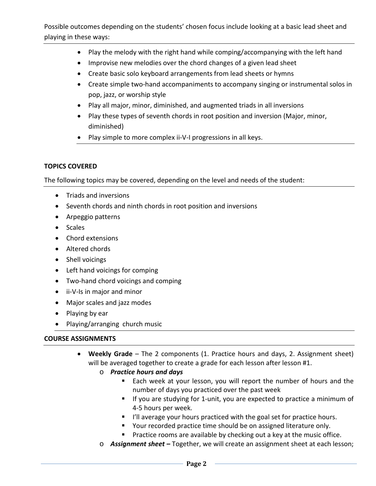- Play the melody with the right hand while comping/accompanying with the left hand
- Improvise new melodies over the chord changes of a given lead sheet
- Create basic solo keyboard arrangements from lead sheets or hymns
- Create simple two-hand accompaniments to accompany singing or instrumental solos in pop, jazz, or worship style
- Play all major, minor, diminished, and augmented triads in all inversions
- Play these types of seventh chords in root position and inversion (Major, minor, diminished)
- Play simple to more complex ii-V-I progressions in all keys.

### **TOPICS COVERED**

The following topics may be covered, depending on the level and needs of the student:

- Triads and inversions
- Seventh chords and ninth chords in root position and inversions
- Arpeggio patterns
- Scales
- Chord extensions
- Altered chords
- Shell voicings
- Left hand voicings for comping
- Two-hand chord voicings and comping
- ii-V-Is in major and minor
- Major scales and jazz modes
- Playing by ear
- Playing/arranging church music

#### **COURSE ASSIGNMENTS**

- **Weekly Grade** The 2 components (1. Practice hours and days, 2. Assignment sheet) will be averaged together to create a grade for each lesson after lesson #1.
	- o *Practice hours and days* 
		- Each week at your lesson, you will report the number of hours and the number of days you practiced over the past week
		- **If you are studying for 1-unit, you are expected to practice a minimum of** 4-5 hours per week.
		- I'll average your hours practiced with the goal set for practice hours.
		- **P** Your recorded practice time should be on assigned literature only.
		- **Practice rooms are available by checking out a key at the music office.**
	- o *Assignment sheet –* Together, we will create an assignment sheet at each lesson;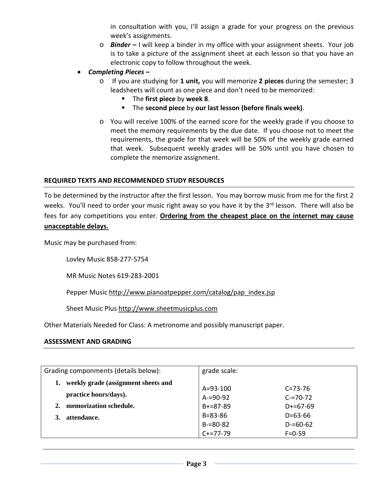in consultation with you, I'll assign a grade for your progress on the previous week's assignments.

- o *Binder –* I will keep a binder in my office with your assignment sheets. Your job is to take a picture of the assignment sheet at each lesson so that you have an electronic copy to follow throughout the week.
- *Completing Pieces –*
	- o If you are studying for **1 unit,** you will memorize **2 pieces** during the semester; 3 leadsheets will count as one piece and don't need to be memorized:
		- The **first piece** by **week 8**.
		- The **second piece** by **our last lesson (before finals week)**.
	- o You will receive 100% of the earned score for the weekly grade if you choose to meet the memory requirements by the due date. If you choose not to meet the requirements, the grade for that week will be 50% of the weekly grade earned that week. Subsequent weekly grades will be 50% until you have chosen to complete the memorize assignment.

#### **REQUIRED TEXTS AND RECOMMENDED STUDY RESOURCES**

To be determined by the instructor after the first lesson. You may borrow music from me for the first 2 weeks. You'll need to order your music right away so you have it by the 3rd lesson. There will also be fees for any competitions you enter. **Ordering from the cheapest place on the internet may cause unacceptable delays.**

Music may be purchased from:

Lovley Music 858-277-5754

MR Music Notes 619-283-2001

Pepper Music [http://www.pianoatpepper.com/catalog/pap\\_index.jsp](http://www.pianoatpepper.com/catalog/pap_index.jsp)

Sheet Music Plus [http://www.sheetmusicplus.com](http://www.sheetmusicplus.com/)

Other Materials Needed for Class: A metronome and possibly manuscript paper.

#### **ASSESSMENT AND GRADING**

| Grading componments (details below): | grade scale:    |               |
|--------------------------------------|-----------------|---------------|
| weekly grade (assignment sheets and  | $A = 93 - 100$  | $C = 73 - 76$ |
| practice hours/days).                | $A = 90 - 92$   | $C = 70 - 72$ |
| memorization schedule.               | $B + = 87 - 89$ | $D+=67-69$    |
| attendance.                          | $B = 83 - 86$   | $D = 63 - 66$ |
|                                      | $B = 80 - 82$   | $D = 60 - 62$ |
|                                      | $C+=77-79$      | $F = 0 - 59$  |